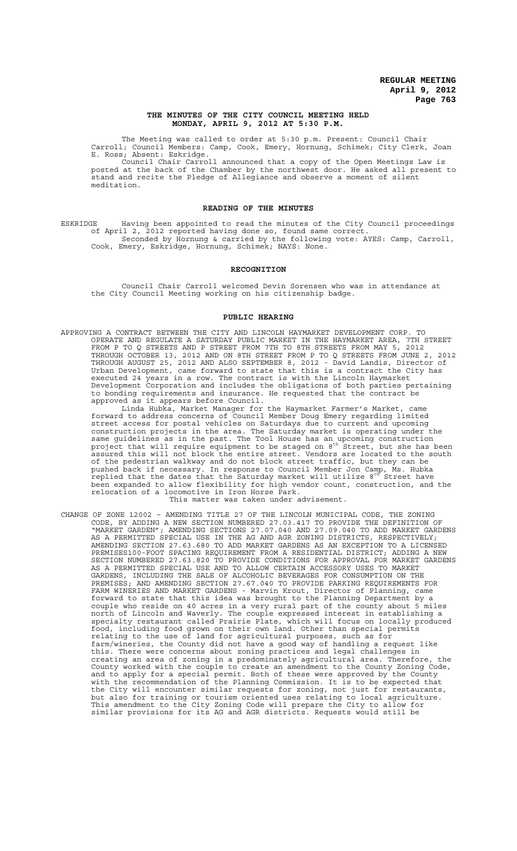#### **THE MINUTES OF THE CITY COUNCIL MEETING HELD MONDAY, APRIL 9, 2012 AT 5:30 P.M.**

The Meeting was called to order at 5:30 p.m. Present: Council Chair Carroll; Council Members: Camp, Cook, Emery, Hornung, Schimek; City Clerk, Joan E. Ross; Absent: Eskridge.

Council Chair Carroll announced that a copy of the Open Meetings Law is posted at the back of the Chamber by the northwest door. He asked all present to stand and recite the Pledge of Allegiance and observe a moment of silent meditation.

### **READING OF THE MINUTES**

ESKRIDGE Having been appointed to read the minutes of the City Council proceedings of April 2, 2012 reported having done so, found same correct. Seconded by Hornung & carried by the following vote: AYES: Camp, Carroll, Cook, Emery, Eskridge, Hornung, Schimek; NAYS: None.

### **RECOGNITION**

Council Chair Carroll welcomed Devin Sorensen who was in attendance at the City Council Meeting working on his citizenship badge.

#### **PUBLIC HEARING**

APPROVING A CONTRACT BETWEEN THE CITY AND LINCOLN HAYMARKET DEVELOPMENT CORP. TO OPERATE AND REGULATE A SATURDAY PUBLIC MARKET IN THE HAYMARKET AREA, 7TH STREET FROM P TO Q STREETS AND P STREET FROM 7TH TO 8TH STREETS FROM MAY 5, 2012 THROUGH OCTOBER 13, 2012 AND ON 8TH STREET FROM P TO Q STREETS FROM JUNE 2, 2012 THROUGH AUGUST 25, 2012 AND ALSO SEPTEMBER 8, 2012 - David Landis, Director of Urban Development, came forward to state that this is a contract the City has executed 24 years in a row. The contract is with the Lincoln Haymarket Development Corporation and includes the obligations of both parties pertaining to bonding requirements and insurance. He requested that the contract be approved as it appears before Council.

Linda Hubka, Market Manager for the Haymarket Farmer's Market, came forward to address concerns of Council Member Doug Emery regarding limited street access for postal vehicles on Saturdays due to current and upcoming construction projects in the area. The Saturday market is operating under the same guidelines as in the past. The Tool House has an upcoming construction<br>project that will require equipment to be staged on 8<sup>th</sup> Street, but she has been assured this will not block the entire street. Vendors are located to the south of the pedestrian walkway and do not block street traffic, but they can be pushed back if necessary. In response to Council Member Jon Camp, Ms. Hubka<br>replied that the dates that the Saturday market will utilize 8<sup>th</sup> Street have been expanded to allow flexibility for high vendor count, construction, and the relocation of a locomotive in Iron Horse Park. This matter was taken under advisement.

CHANGE OF ZONE 12002 – AMENDING TITLE 27 OF THE LINCOLN MUNICIPAL CODE, THE ZONING CODE, BY ADDING A NEW SECTION NUMBERED 27.03.417 TO PROVIDE THE DEFINITION OF "MARKET GARDEN"; AMENDING SECTIONS 27.07.040 AND 27.09.040 TO ADD MARKET GARDENS AS A PERMITTED SPECIAL USE IN THE AG AND AGR ZONING DISTRICTS, RESPECTIVELY; AMENDING SECTION 27.63.680 TO ADD MARKET GARDENS AS AN EXCEPTION TO A LICENSED PREMISES100-FOOT SPACING REQUIREMENT FROM A RESIDENTIAL DISTRICT; ADDING A NEW SECTION NUMBERED 27.63.820 TO PROVIDE CONDITIONS FOR APPROVAL FOR MARKET GARDENS AS A PERMITTED SPECIAL USE AND TO ALLOW CERTAIN ACCESSORY USES TO MARKET GARDENS, INCLUDING THE SALE OF ALCOHOLIC BEVERAGES FOR CONSUMPTION ON THE PREMISES; AND AMENDING SECTION 27.67.040 TO PROVIDE PARKING REQUIREMENTS FOR FARM WINERIES AND MARKET GARDENS - Marvin Krout, Director of Planning, came forward to state that this idea was brought to the Planning Department by a couple who reside on 40 acres in a very rural part of the county about 5 miles north of Lincoln and Waverly. The couple expressed interest in establishing a specialty restaurant called Prairie Plate, which will focus on locally produced food, including food grown on their own land. Other than special permits relating to the use of land for agricultural purposes, such as for farm/wineries, the County did not have a good way of handling a request like this. There were concerns about zoning practices and legal challenges in creating an area of zoning in a predominately agricultural area. Therefore, the County worked with the couple to create an amendment to the County Zoning Code, and to apply for a special permit. Both of these were approved by the County with the recommendation of the Planning Commission. It is to be expected that the City will encounter similar requests for zoning, not just for restaurants, but also for training or tourism oriented uses relating to local agriculture. This amendment to the City Zoning Code will prepare the City to allow for similar provisions for its AG and AGR districts. Requests would still be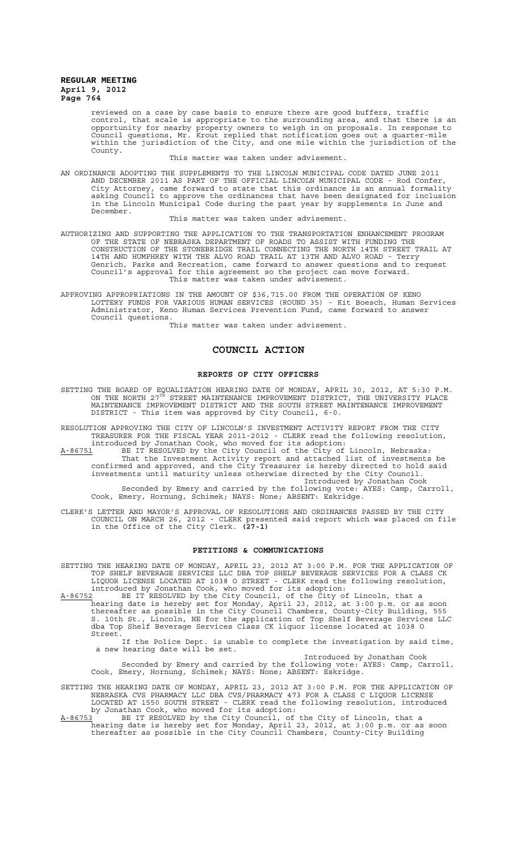reviewed on a case by case basis to ensure there are good buffers, traffic control, that scale is appropriate to the surrounding area, and that there is an opportunity for nearby property owners to weigh in on proposals. In response to Council questions, Mr. Krout replied that notification goes out a quarter-mile within the jurisdiction of the City, and one mile within the jurisdiction of the County.

This matter was taken under advisement.

AN ORDINANCE ADOPTING THE SUPPLEMENTS TO THE LINCOLN MUNICIPAL CODE DATED JUNE 2011 AND DECEMBER 2011 AS PART OF THE OFFICIAL LINCOLN MUNICIPAL CODE - Rod Confer, City Attorney, came forward to state that this ordinance is an annual formality asking Council to approve the ordinances that have been designated for inclusion in the Lincoln Municipal Code during the past year by supplements in June and December.

This matter was taken under advisement.

AUTHORIZING AND SUPPORTING THE APPLICATION TO THE TRANSPORTATION ENHANCEMENT PROGRAM OF THE STATE OF NEBRASKA DEPARTMENT OF ROADS TO ASSIST WITH FUNDING THE CONSTRUCTION OF THE STONEBRIDGE TRAIL CONNECTING THE NORTH 14TH STREET TRAIL AT 14TH AND HUMPHREY WITH THE ALVO ROAD TRAIL AT 13TH AND ALVO ROAD - Terry Genrich, Parks and Recreation, came forward to answer questions and to request Council's approval for this agreement so the project can move forward. This matter was taken under advisement.

APPROVING APPROPRIATIONS IN THE AMOUNT OF \$36,715.00 FROM THE OPERATION OF KENO LOTTERY FUNDS FOR VARIOUS HUMAN SERVICES (ROUND 35) - Kit Boesch, Human Services Administrator, Keno Human Services Prevention Fund, came forward to answer Council questions.

This matter was taken under advisement.

# **COUNCIL ACTION**

## **REPORTS OF CITY OFFICERS**

SETTING THE BOARD OF EQUALIZATION HEARING DATE OF MONDAY, APRIL 30, 2012, AT 5:30 P.M.<br>ON THE NORTH 27<sup>TH</sup> STREET MAINTENANCE IMPROVEMENT DISTRICT, THE UNIVERSITY PLACE MAINTENANCE IMPROVEMENT DISTRICT AND THE SOUTH STREET MAINTENANCE IMPROVEMENT DISTRICT - This item was approved by City Council, 6-0.

RESOLUTION APPROVING THE CITY OF LINCOLN'S INVESTMENT ACTIVITY REPORT FROM THE CITY TREASURER FOR THE FISCAL YEAR 2011-2012 - CLERK read the following resolution, introduced by Jonathan Cook, who moved for its adoption:

A-86751 BE IT RESOLVED by the City Council of the City of Lincoln, Nebraska: That the Investment Activity report and attached list of investments be confirmed and approved, and the City Treasurer is hereby directed to hold said investments until maturity unless otherwise directed by the City Council. Introduced by Jonathan Cook

Seconded by Emery and carried by the following vote: AYES: Camp, Carroll, Cook, Emery, Hornung, Schimek; NAYS: None; ABSENT: Eskridge.

CLERK'S LETTER AND MAYOR'S APPROVAL OF RESOLUTIONS AND ORDINANCES PASSED BY THE CITY COUNCIL ON MARCH 26, 2012 - CLERK presented said report which was placed on file in the Office of the City Clerk. **(27-1)**

# **PETITIONS & COMMUNICATIONS**

SETTING THE HEARING DATE OF MONDAY, APRIL 23, 2012 AT 3:00 P.M. FOR THE APPLICATION OF TOP SHELF BEVERAGE SERVICES LLC DBA TOP SHELF BEVERAGE SERVICES FOR A CLASS CK LIQUOR LICENSE LOCATED AT 1038 O STREET - CLERK read the following resolution, introduced by Jonathan Cook, who moved for its adoption:

A-86752 BE IT RESOLVED by the City Council, of the City of Lincoln, that a hearing date is hereby set for Monday, April 23, 2012, at 3:00 p.m. or as soon thereafter as possible in the City Council Chambers, County-City Building, 555 S. 10th St., Lincoln, NE for the application of Top Shelf Beverage Services LLC dba Top Shelf Beverage Services Class CK liquor license located at 1038 O Street.

If the Police Dept. is unable to complete the investigation by said time, a new hearing date will be set.

Introduced by Jonathan Cook Seconded by Emery and carried by the following vote: AYES: Camp, Carroll, Cook, Emery, Hornung, Schimek; NAYS: None; ABSENT: Eskridge.

SETTING THE HEARING DATE OF MONDAY, APRIL 23, 2012 AT 3:00 P.M. FOR THE APPLICATION OF NEBRASKA CVS PHARMACY LLC DBA CVS/PHARMACY 473 FOR A CLASS C LIQUOR LICENSE LOCATED AT 1550 SOUTH STREET - CLERK read the following resolution, introduced by Jonathan Cook, who moved for its adoption:

A-86753 BE IT RESOLVED by the City Council, of the City of Lincoln, that a hearing date is hereby set for Monday, April 23, 2012, at 3:00 p.m. or as soon thereafter as possible in the City Council Chambers, County-City Building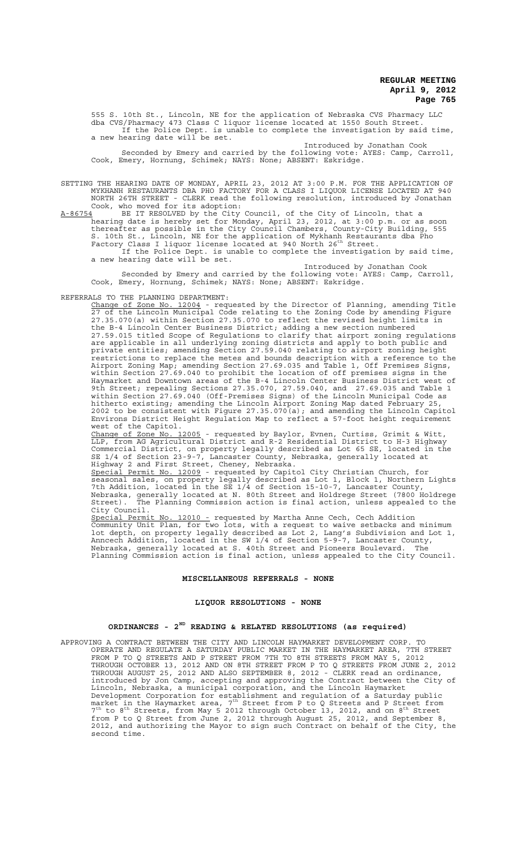555 S. 10th St., Lincoln, NE for the application of Nebraska CVS Pharmacy LLC dba CVS/Pharmacy 473 Class C liquor license located at 1550 South Street. If the Police Dept. is unable to complete the investigation by said time, a new hearing date will be set.

Introduced by Jonathan Cook Seconded by Emery and carried by the following vote: AYES: Camp, Carroll, Cook, Emery, Hornung, Schimek; NAYS: None; ABSENT: Eskridge.

SETTING THE HEARING DATE OF MONDAY, APRIL 23, 2012 AT 3:00 P.M. FOR THE APPLICATION OF MYKHANH RESTAURANTS DBA PHO FACTORY FOR A CLASS I LIQUOR LICENSE LOCATED AT 940 NORTH 26TH STREET - CLERK read the following resolution, introduced by Jonathan Cook, who moved for its adoption:

A-86754 BE IT RESOLVED by the City Council, of the City of Lincoln, that a hearing date is hereby set for Monday, April 23, 2012, at 3:00 p.m. or as soon thereafter as possible in the City Council Chambers, County-City Building, 555 S. 10th St., Lincoln, NE for the application of Mykhanh Restaurants dba Pho<br>Factory Class I liquor license located at 940 North 26<sup>th</sup> Street. If the Police Dept. is unable to complete the investigation by said time,

a new hearing date will be set. Introduced by Jonathan Cook

Seconded by Emery and carried by the following vote: AYES: Camp, Carroll, Cook, Emery, Hornung, Schimek; NAYS: None; ABSENT: Eskridge.

# REFERRALS TO THE PLANNING DEPARTMENT:

Change of Zone No. 12004 - requested by the Director of Planning, amending Title 27 of the Lincoln Municipal Code relating to the Zoning Code by amending Figure 27.35.070(a) within Section 27.35.070 to reflect the revised height limits in the B-4 Lincoln Center Business District; adding a new section numbered 27.59.015 titled Scope of Regulations to clarify that airport zoning regulations are applicable in all underlying zoning districts and apply to both public and private entities; amending Section 27.59.040 relating to airport zoning height restrictions to replace the metes and bounds description with a reference to the Airport Zoning Map; amending Section 27.69.035 and Table 1, Off Premises Signs, within Section 27.69.040 to prohibit the location of off premises signs in the Haymarket and Downtown areas of the B-4 Lincoln Center Business District west of 9th Street; repealing Sections 27.35.070, 27.59.040, and 27.69.035 and Table 1 within Section 27.69.040 (Off-Premises Signs) of the Lincoln Municipal Code as hitherto existing; amending the Lincoln Airport Zoning Map dated February 25, 2002 to be consistent with Figure 27.35.070(a); and amending the Lincoln Capitol Environs District Height Regulation Map to reflect a 57-foot height requirement west of the Capitol.

Change of Zone No. 12005 - requested by Baylor, Evnen, Curtiss, Grimit & Witt, LLP, from AG Agricultural District and R-2 Residential District to H-3 Highway Commercial District, on property legally described as Lot 65 SE, located in the SE 1/4 of Section 23-9-7, Lancaster County, Nebraska, generally located at Highway 2 and First Street, Cheney, Nebraska.

Special Permit No. 12009 - requested by Capitol City Christian Church, for seasonal sales, on property legally described as Lot 1, Block 1, Northern Lights 7th Addition, located in the SE 1/4 of Section 15-10-7, Lancaster County, Nebraska, generally located at N. 80th Street and Holdrege Street (7800 Holdrege Street). The Planning Commission action is final action, unless appealed to the City Council.

Special Permit No. 12010 - requested by Martha Anne Cech, Cech Addition Community Unit Plan, for two lots, with a request to waive setbacks and minimum lot depth, on property legally described as Lot 2, Lang's Subdivision and Lot 1, Anncech Addition, located in the SW 1/4 of Section 5-9-7, Lancaster County, Nebraska, generally located at S. 40th Street and Pioneers Boulevard. The Planning Commission action is final action, unless appealed to the City Council.

### **MISCELLANEOUS REFERRALS - NONE**

# **LIQUOR RESOLUTIONS - NONE**

# **ORDINANCES - 2ND READING & RELATED RESOLUTIONS (as required)**

APPROVING A CONTRACT BETWEEN THE CITY AND LINCOLN HAYMARKET DEVELOPMENT CORP. TO OPERATE AND REGULATE A SATURDAY PUBLIC MARKET IN THE HAYMARKET AREA, 7TH STREET FROM P TO Q STREETS AND P STREET FROM 7TH TO 8TH STREETS FROM MAY 5, 2012 THROUGH OCTOBER 13, 2012 AND ON 8TH STREET FROM P TO Q STREETS FROM JUNE 2, 2012 THROUGH AUGUST 25, 2012 AND ALSO SEPTEMBER 8, 2012 - CLERK read an ordinance, introduced by Jon Camp, accepting and approving the Contract between the City of Lincoln, Nebraska, a municipal corporation, and the Lincoln Haymarket Development Corporation for establishment and regulation of a Saturday public<br>market in the Haymarket area, 7<sup>th</sup> Street from P to Q Streets and P Street from  $7<sup>th</sup>$  to  $8<sup>th</sup>$  Streets, from May 5 2012 through October 13, 2012, and on  $8<sup>th</sup>$  Street from P to Q Street from June 2, 2012 through August 25, 2012, and September 8, 2012, and authorizing the Mayor to sign such Contract on behalf of the City, the second time.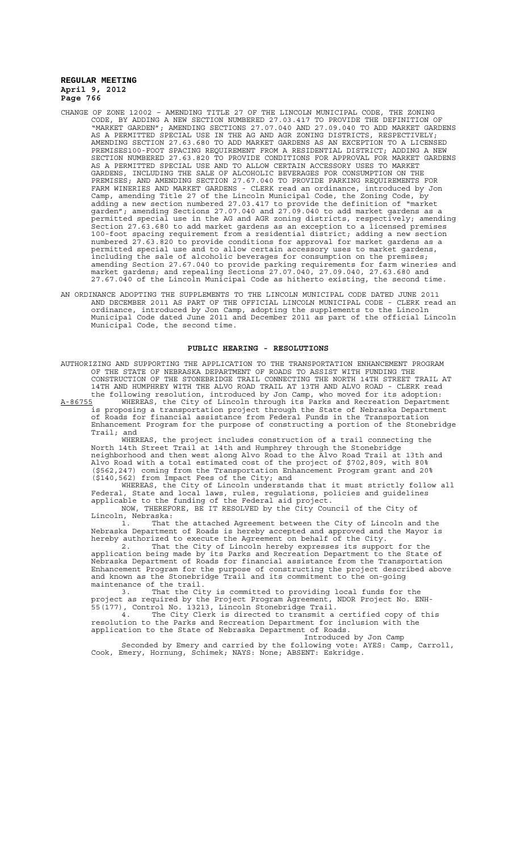- CHANGE OF ZONE 12002 AMENDING TITLE 27 OF THE LINCOLN MUNICIPAL CODE, THE ZONING CODE, BY ADDING A NEW SECTION NUMBERED 27.03.417 TO PROVIDE THE DEFINITION OF "MARKET GARDEN"; AMENDING SECTIONS 27.07.040 AND 27.09.040 TO ADD MARKET GARDENS AS A PERMITTED SPECIAL USE IN THE AG AND AGR ZONING DISTRICTS, RESPECTIVELY; AMENDING SECTION 27.63.680 TO ADD MARKET GARDENS AS AN EXCEPTION TO A LICENSED PREMISES100-FOOT SPACING REQUIREMENT FROM A RESIDENTIAL DISTRICT; ADDING A NEW SECTION NUMBERED 27.63.820 TO PROVIDE CONDITIONS FOR APPROVAL FOR MARKET GARDENS AS A PERMITTED SPECIAL USE AND TO ALLOW CERTAIN ACCESSORY USES TO MARKET GARDENS, INCLUDING THE SALE OF ALCOHOLIC BEVERAGES FOR CONSUMPTION ON THE PREMISES; AND AMENDING SECTION 27.67.040 TO PROVIDE PARKING REQUIREMENTS FOR FARM WINERIES AND MARKET GARDENS - CLERK read an ordinance, introduced by Jon Camp, amending Title 27 of the Lincoln Municipal Code, the Zoning Code, by adding a new section numbered 27.03.417 to provide the definition of "market garden"; amending Sections 27.07.040 and 27.09.040 to add market gardens as a permitted special use in the AG and AGR zoning districts, respectively; amending Section 27.63.680 to add market gardens as an exception to a licensed premises 100-foot spacing requirement from a residential district; adding a new section numbered 27.63.820 to provide conditions for approval for market gardens as a permitted special use and to allow certain accessory uses to market gardens, including the sale of alcoholic beverages for consumption on the premises; amending Section 27.67.040 to provide parking requirements for farm wineries and market gardens; and repealing Sections 27.07.040, 27.09.040, 27.63.680 and 27.67.040 of the Lincoln Municipal Code as hitherto existing, the second time.
- AN ORDINANCE ADOPTING THE SUPPLEMENTS TO THE LINCOLN MUNICIPAL CODE DATED JUNE 2011 AND DECEMBER 2011 AS PART OF THE OFFICIAL LINCOLN MUNICIPAL CODE - CLERK read an ordinance, introduced by Jon Camp, adopting the supplements to the Lincoln Municipal Code dated June 2011 and December 2011 as part of the official Lincoln Municipal Code, the second time.

#### **PUBLIC HEARING - RESOLUTIONS**

AUTHORIZING AND SUPPORTING THE APPLICATION TO THE TRANSPORTATION ENHANCEMENT PROGRAM OF THE STATE OF NEBRASKA DEPARTMENT OF ROADS TO ASSIST WITH FUNDING THE CONSTRUCTION OF THE STONEBRIDGE TRAIL CONNECTING THE NORTH 14TH STREET TRAIL AT 14TH AND HUMPHREY WITH THE ALVO ROAD TRAIL AT 13TH AND ALVO ROAD - CLERK read the following resolution, introduced by Jon Camp, who moved for its adoption:

A-86755 WHEREAS, the City of Lincoln through its Parks and Recreation Department is proposing a transportation project through the State of Nebraska Department of Roads for financial assistance from Federal Funds in the Transportation Enhancement Program for the purpose of constructing a portion of the Stonebridge Trail; and

WHEREAS, the project includes construction of a trail connecting the North 14th Street Trail at 14th and Humphrey through the Stonebridge neighborhood and then west along Alvo Road to the Alvo Road Trail at 13th and Alvo Road with a total estimated cost of the project of \$702,809, with 80% (\$562,247) coming from the Transportation Enhancement Program grant and 20% (\$140,562) from Impact Fees of the City; and

WHEREAS, the City of Lincoln understands that it must strictly follow all Federal, State and local laws, rules, regulations, policies and guidelines applicable to the funding of the Federal aid project.

NOW, THEREFORE, BE IT RESOLVED by the City Council of the City of Lincoln, Nebraska:

1. That the attached Agreement between the City of Lincoln and the Nebraska Department of Roads is hereby accepted and approved and the Mayor is hereby authorized to execute the Agreement on behalf of the City.

2. That the City of Lincoln hereby expresses its support for the application being made by its Parks and Recreation Department to the State of Nebraska Department of Roads for financial assistance from the Transportation Enhancement Program for the purpose of constructing the project described above and known as the Stonebridge Trail and its commitment to the on-going maintenance of the trail.

3. That the City is committed to providing local funds for the project as required by the Project Program Agreement, NDOR Project No. ENH-55(177), Control No. 13213, Lincoln Stonebridge Trail.

4. The City Clerk is directed to transmit a certified copy of this resolution to the Parks and Recreation Department for inclusion with the application to the State of Nebraska Department of Roads.

Introduced by Jon Camp Seconded by Emery and carried by the following vote: AYES: Camp, Carroll, Cook, Emery, Hornung, Schimek; NAYS: None; ABSENT: Eskridge.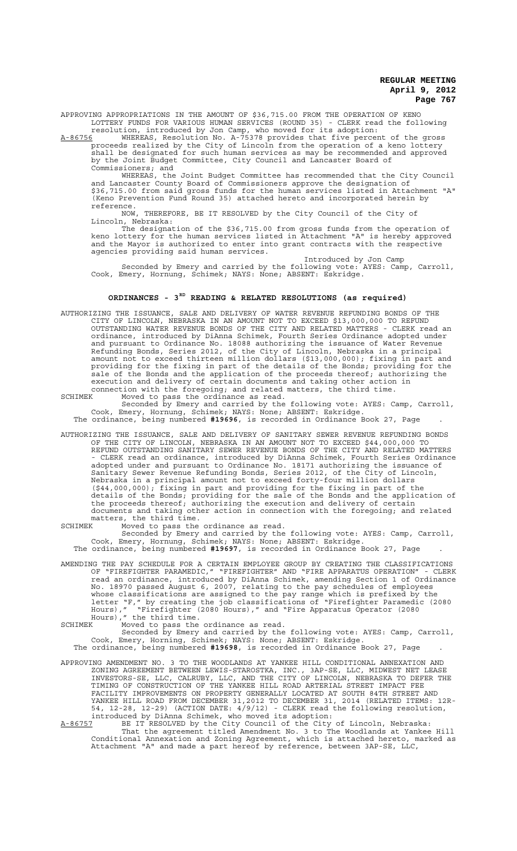APPROVING APPROPRIATIONS IN THE AMOUNT OF \$36,715.00 FROM THE OPERATION OF KENO LOTTERY FUNDS FOR VARIOUS HUMAN SERVICES (ROUND 35) - CLERK read the following

resolution, introduced by Jon Camp, who moved for its adoption: A-86756 MHEREAS, Resolution No. A-75378 provides that five percent of the gross

proceeds realized by the City of Lincoln from the operation of a keno lottery shall be designated for such human services as may be recommended and approved by the Joint Budget Committee, City Council and Lancaster Board of Commissioners; and

WHEREAS, the Joint Budget Committee has recommended that the City Council and Lancaster County Board of Commissioners approve the designation of \$36,715.00 from said gross funds for the human services listed in Attachment "A" (Keno Prevention Fund Round 35) attached hereto and incorporated herein by reference.<br>NOW,

THEREFORE, BE IT RESOLVED by the City Council of the City of Lincoln, Nebraska:

The designation of the \$36,715.00 from gross funds from the operation of keno lottery for the human services listed in Attachment "A" is hereby approved and the Mayor is authorized to enter into grant contracts with the respective agencies providing said human services.

Introduced by Jon Camp Seconded by Emery and carried by the following vote: AYES: Camp, Carroll, Cook, Emery, Hornung, Schimek; NAYS: None; ABSENT: Eskridge.

# **ORDINANCES - 3RD READING & RELATED RESOLUTIONS (as required)**

AUTHORIZING THE ISSUANCE, SALE AND DELIVERY OF WATER REVENUE REFUNDING BONDS OF THE CITY OF LINCOLN, NEBRASKA IN AN AMOUNT NOT TO EXCEED \$13,000,000 TO REFUND OUTSTANDING WATER REVENUE BONDS OF THE CITY AND RELATED MATTERS - CLERK read an ordinance, introduced by DiAnna Schimek, Fourth Series Ordinance adopted under and pursuant to Ordinance No. 18088 authorizing the issuance of Water Revenue Refunding Bonds, Series 2012, of the City of Lincoln, Nebraska in a principal amount not to exceed thirteen million dollars (\$13,000,000); fixing in part and providing for the fixing in part of the details of the Bonds; providing for the sale of the Bonds and the application of the proceeds thereof; authorizing the execution and delivery of certain documents and taking other action in connection with the foregoing; and related matters, the third time.

SCHIMEK Moved to pass the ordinance as read.

Seconded by Emery and carried by the following vote: AYES: Camp, Carroll, Cook, Emery, Hornung, Schimek; NAYS: None; ABSENT: Eskridge. The ordinance, being numbered **#19696**, is recorded in Ordinance Book 27, Page .

AUTHORIZING THE ISSUANCE, SALE AND DELIVERY OF SANITARY SEWER REVENUE REFUNDING BONDS OF THE CITY OF LINCOLN, NEBRASKA IN AN AMOUNT NOT TO EXCEED \$44,000,000 TO REFUND OUTSTANDING SANITARY SEWER REVENUE BONDS OF THE CITY AND RELATED MATTERS - CLERK read an ordinance, introduced by DiAnna Schimek, Fourth Series Ordinance adopted under and pursuant to Ordinance No. 18171 authorizing the issuance of Sanitary Sewer Revenue Refunding Bonds, Series 2012, of the City of Lincoln, Nebraska in a principal amount not to exceed forty-four million dollars (\$44,000,000); fixing in part and providing for the fixing in part of the details of the Bonds; providing for the sale of the Bonds and the application of the proceeds thereof; authorizing the execution and delivery of certain documents and taking other action in connection with the foregoing; and related matters, the third time.

SCHIMEK Moved to pass the ordinance as read. Seconded by Emery and carried by the following vote: AYES: Camp, Carroll, Cook, Emery, Hornung, Schimek; NAYS: None; ABSENT: Eskridge. The ordinance, being numbered **#19697**, is recorded in Ordinance Book 27, Page .

AMENDING THE PAY SCHEDULE FOR A CERTAIN EMPLOYEE GROUP BY CREATING THE CLASSIFICATIONS OF "FIREFIGHTER PARAMEDIC," "FIREFIGHTER" AND "FIRE APPARATUS OPERATION" - CLERK read an ordinance, introduced by DiAnna Schimek, amending Section 1 of Ordinance No. 18970 passed August 6, 2007, relating to the pay schedules of employees whose classifications are assigned to the pay range which is prefixed by the letter "F," by creating the job classifications of "Firefighter Paramedic (2080 Hours)," "Firefighter (2080 Hours)," and "Fire Apparatus Operator (2080 Hours)," the third time.

SCHIMEK Moved to pass the ordinance as read.

Seconded by Emery and carried by the following vote: AYES: Camp, Carroll, Cook, Emery, Horning, Schimek; NAYS: None; ABSENT: Eskridge. The ordinance, being numbered **#19698**, is recorded in Ordinance Book 27, Page .

APPROVING AMENDMENT NO. 3 TO THE WOODLANDS AT YANKEE HILL CONDITIONAL ANNEXATION AND ZONING AGREEMENT BETWEEN LEWIS-STAROSTKA, INC., 3AP-SE, LLC, MIDWEST NET LEASE INVESTORS-SE, LLC, CALRUBY, LLC, AND THE CITY OF LINCOLN, NEBRASKA TO DEFER THE TIMING OF CONSTRUCTION OF THE YANKEE HILL ROAD ARTERIAL STREET IMPACT FEE FACILITY IMPROVEMENTS ON PROPERTY GENERALLY LOCATED AT SOUTH 84TH STREET AND YANKEE HILL ROAD FROM DECEMBER 31,2012 TO DECEMBER 31, 2014 (RELATED ITEMS: 12R-54, 12-28, 12-29) (ACTION DATE: 4/9/12) - CLERK read the following resolution, introduced by DiAnna Schimek, who moved its adoption:

A-86757 BE IT RESOLVED by the City Council of the City of Lincoln, Nebraska: That the agreement titled Amendment No. 3 to The Woodlands at Yankee Hill Conditional Annexation and Zoning Agreement, which is attached hereto, marked as Attachment "A" and made a part hereof by reference, between 3AP-SE, LLC,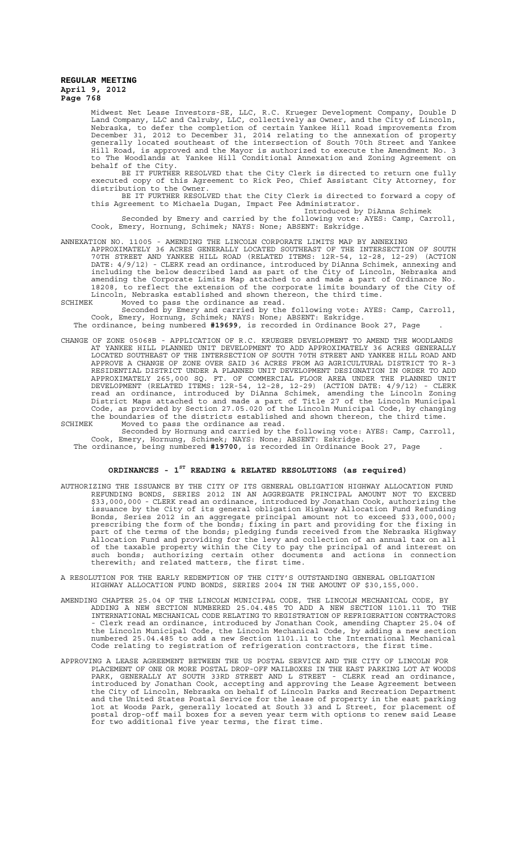Midwest Net Lease Investors-SE, LLC, R.C. Krueger Development Company, Double D Land Company, LLC and Calruby, LLC, collectively as Owner, and the City of Lincoln, Nebraska, to defer the completion of certain Yankee Hill Road improvements from December 31, 2012 to December 31, 2014 relating to the annexation of property generally located southeast of the intersection of South 70th Street and Yankee Hill Road, is approved and the Mayor is authorized to execute the Amendment No. 3 to The Woodlands at Yankee Hill Conditional Annexation and Zoning Agreement on behalf of the City.

BE IT FURTHER RESOLVED that the City Clerk is directed to return one fully executed copy of this Agreement to Rick Peo, Chief Assistant City Attorney, for distribution to the Owner.

BE IT FURTHER RESOLVED that the City Clerk is directed to forward a copy of this Agreement to Michaela Dugan, Impact Fee Administrator. Introduced by DiAnna Schimek

Seconded by Emery and carried by the following vote: AYES: Camp, Carroll, Cook, Emery, Hornung, Schimek; NAYS: None; ABSENT: Eskridge.

# ANNEXATION NO. 11005 - AMENDING THE LINCOLN CORPORATE LIMITS MAP BY ANNEXING

APPROXIMATELY 36 ACRES GENERALLY LOCATED SOUTHEAST OF THE INTERSECTION OF SOUTH 70TH STREET AND YANKEE HILL ROAD (RELATED ITEMS: 12R-54, 12-28, 12-29) (ACTION DATE: 4/9/12) - CLERK read an ordinance, introduced by DiAnna Schimek, annexing and including the below described land as part of the City of Lincoln, Nebraska and amending the Corporate Limits Map attached to and made a part of Ordinance No. 18208, to reflect the extension of the corporate limits boundary of the City of Lincoln, Nebraska established and shown thereon, the third time.<br>SCHIMEK Moved to pass the ordinance as read

SCHIMEK Moved to pass the ordinance as read. Seconded by Emery and carried by the following vote: AYES: Camp, Carroll, Cook, Emery, Hornung, Schimek; NAYS: None; ABSENT: Eskridge.

The ordinance, being numbered **#19699**, is recorded in Ordinance Book 27, Page .

- CHANGE OF ZONE 05068B APPLICATION OF R.C. KRUEGER DEVELOPMENT TO AMEND THE WOODLANDS AT YANKEE HILL PLANNED UNIT DEVELOPMENT TO ADD APPROXIMATELY 36 ACRES GENERALLY LOCATED SOUTHEAST OF THE INTERSECTION OF SOUTH 70TH STREET AND YANKEE HILL ROAD AND APPROVE A CHANGE OF ZONE OVER SAID 36 ACRES FROM AG AGRICULTURAL DISTRICT TO R-3 RESIDENTIAL DISTRICT UNDER A PLANNED UNIT DEVELOPMENT DESIGNATION IN ORDER TO ADD APPROXIMATELY 265,000 SQ. FT. OF COMMERCIAL FLOOR AREA UNDER THE PLANNED UNIT DEVELOPMENT (RELATED ITEMS: 12R-54, 12-28, 12-29) (ACTION DATE: 4/9/12) - CLERK read an ordinance, introduced by DiAnna Schimek, amending the Lincoln Zoning District Maps attached to and made a part of Title 27 of the Lincoln Municipal Code, as provided by Section 27.05.020 of the Lincoln Municipal Code, by changing the boundaries of the districts established and shown thereon, the third time.<br>SCHIMEK Moved to pass the ordinance as read.
- SCHIMEK Moved to pass the ordinance as read. Seconded by Hornung and carried by the following vote: AYES: Camp, Carroll, Cook, Emery, Hornung, Schimek; NAYS: None; ABSENT: Eskridge.
	- The ordinance, being numbered **#19700**, is recorded in Ordinance Book 27, Page .

# **ORDINANCES - 1ST READING & RELATED RESOLUTIONS (as required)**

- AUTHORIZING THE ISSUANCE BY THE CITY OF ITS GENERAL OBLIGATION HIGHWAY ALLOCATION FUND REFUNDING BONDS, SERIES 2012 IN AN AGGREGATE PRINCIPAL AMOUNT NOT TO EXCEED \$33,000,000 - CLERK read an ordinance, introduced by Jonathan Cook, authorizing the issuance by the City of its general obligation Highway Allocation Fund Refunding Bonds, Series 2012 in an aggregate principal amount not to exceed \$33,000,000; prescribing the form of the bonds; fixing in part and providing for the fixing in part of the terms of the bonds; pledging funds received from the Nebraska Highway Allocation Fund and providing for the levy and collection of an annual tax on all of the taxable property within the City to pay the principal of and interest on such bonds; authorizing certain other documents and actions in connection therewith; and related matters, the first time.
- A RESOLUTION FOR THE EARLY REDEMPTION OF THE CITY'S OUTSTANDING GENERAL OBLIGATION HIGHWAY ALLOCATION FUND BONDS, SERIES 2004 IN THE AMOUNT OF \$30,155,000.
- AMENDING CHAPTER 25.04 OF THE LINCOLN MUNICIPAL CODE, THE LINCOLN MECHANICAL CODE, BY ADDING A NEW SECTION NUMBERED 25.04.485 TO ADD A NEW SECTION 1101.11 TO THE INTERNATIONAL MECHANICAL CODE RELATING TO REGISTRATION OF REFRIGERATION CONTRACTORS - Clerk read an ordinance, introduced by Jonathan Cook, amending Chapter 25.04 of the Lincoln Municipal Code, the Lincoln Mechanical Code, by adding a new section numbered 25.04.485 to add a new Section 1101.11 to the International Mechanical Code relating to registration of refrigeration contractors, the first time.
- APPROVING A LEASE AGREEMENT BETWEEN THE US POSTAL SERVICE AND THE CITY OF LINCOLN FOR PLACEMENT OF ONE OR MORE POSTAL DROP-OFF MAILBOXES IN THE EAST PARKING LOT AT WOODS PARK, GENERALLY AT SOUTH 33RD STREET AND L STREET - CLERK read an ordinance, introduced by Jonathan Cook, accepting and approving the Lease Agreement between the City of Lincoln, Nebraska on behalf of Lincoln Parks and Recreation Department and the United States Postal Service for the lease of property in the east parking lot at Woods Park, generally located at South 33 and L Street, for placement of postal drop-off mail boxes for a seven year term with options to renew said Lease for two additional five year terms, the first time.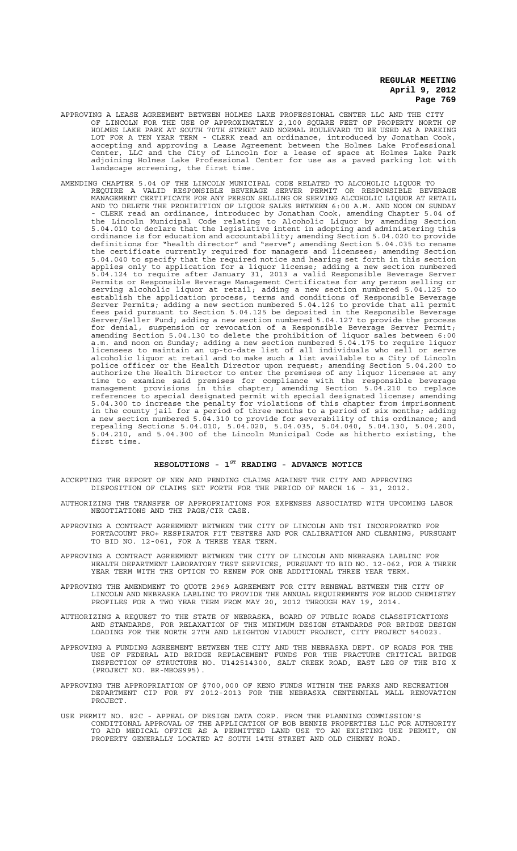- APPROVING A LEASE AGREEMENT BETWEEN HOLMES LAKE PROFESSIONAL CENTER LLC AND THE CITY OF LINCOLN FOR THE USE OF APPROXIMATELY 2,100 SQUARE FEET OF PROPERTY NORTH OF HOLMES LAKE PARK AT SOUTH 70TH STREET AND NORMAL BOULEVARD TO BE USED AS A PARKING LOT FOR A TEN YEAR TERM - CLERK read an ordinance, introduced by Jonathan Cook, accepting and approving a Lease Agreement between the Holmes Lake Professional Center, LLC and the City of Lincoln for a lease of space at Holmes Lake Park adjoining Holmes Lake Professional Center for use as a paved parking lot with landscape screening, the first time.
- AMENDING CHAPTER 5.04 OF THE LINCOLN MUNICIPAL CODE RELATED TO ALCOHOLIC LIQUOR TO REQUIRE A VALID RESPONSIBLE BEVERAGE SERVER PERMIT OR RESPONSIBLE BEVERAGE MANAGEMENT CERTIFICATE FOR ANY PERSON SELLING OR SERVING ALCOHOLIC LIQUOR AT RETAIL AND TO DELETE THE PROHIBITION OF LIQUOR SALES BETWEEN 6:00 A.M. AND NOON ON SUNDAY - CLERK read an ordinance, introducec by Jonathan Cook, amending Chapter 5.04 of the Lincoln Municipal Code relating to Alcoholic Liquor by amending Section 5.04.010 to declare that the legislative intent in adopting and administering this ordinance is for education and accountability; amending Section 5.04.020 to provide definitions for "health director" and "serve"; amending Section 5.04.035 to rename the certificate currently required for managers and licensees; amending Section 5.04.040 to specify that the required notice and hearing set forth in this section applies only to application for a liquor license; adding a new section numbered 5.04.124 to require after January 31, 2013 a valid Responsible Beverage Server Permits or Responsible Beverage Management Certificates for any person selling or serving alcoholic liquor at retail; adding a new section numbered 5.04.125 to establish the application process, terms and conditions of Responsible Beverage Server Permits; adding a new section numbered 5.04.126 to provide that all permit fees paid pursuant to Section 5.04.125 be deposited in the Responsible Beverage Server/Seller Fund; adding a new section numbered 5.04.127 to provide the process for denial, suspension or revocation of a Responsible Beverage Server Permit; amending Section 5.04.130 to delete the prohibition of liquor sales between 6:00 a.m. and noon on Sunday; adding a new section numbered 5.04.175 to require liquor licensees to maintain an up-to-date list of all individuals who sell or serve alcoholic liquor at retail and to make such a list available to a City of Lincoln police officer or the Health Director upon request; amending Section 5.04.200 to authorize the Health Director to enter the premises of any liquor licensee at any time to examine said premises for compliance with the responsible beverage management provisions in this chapter; amending Section 5.04.210 to replace references to special designated permit with special designated license; amending 5.04.300 to increase the penalty for violations of this chapter from imprisonment in the county jail for a period of three months to a period of six months; adding a new section numbered 5.04.310 to provide for severability of this ordinance; and repealing Sections 5.04.010, 5.04.020, 5.04.035, 5.04.040, 5.04.130, 5.04.200, 5.04.210, and 5.04.300 of the Lincoln Municipal Code as hitherto existing, the first time.

# **RESOLUTIONS - 1ST READING - ADVANCE NOTICE**

ACCEPTING THE REPORT OF NEW AND PENDING CLAIMS AGAINST THE CITY AND APPROVING DISPOSITION OF CLAIMS SET FORTH FOR THE PERIOD OF MARCH 16 - 31, 2012.

AUTHORIZING THE TRANSFER OF APPROPRIATIONS FOR EXPENSES ASSOCIATED WITH UPCOMING LABOR NEGOTIATIONS AND THE PAGE/CIR CASE.

- APPROVING A CONTRACT AGREEMENT BETWEEN THE CITY OF LINCOLN AND TSI INCORPORATED FOR PORTACOUNT PRO+ RESPIRATOR FIT TESTERS AND FOR CALIBRATION AND CLEANING, PURSUANT TO BID NO. 12-061, FOR A THREE YEAR TERM.
- APPROVING A CONTRACT AGREEMENT BETWEEN THE CITY OF LINCOLN AND NEBRASKA LABLINC FOR HEALTH DEPARTMENT LABORATORY TEST SERVICES, PURSUANT TO BID NO. 12-062, FOR A THREE YEAR TERM WITH THE OPTION TO RENEW FOR ONE ADDITIONAL THREE YEAR TERM.
- APPROVING THE AMENDMENT TO QUOTE 2969 AGREEMENT FOR CITY RENEWAL BETWEEN THE CITY OF LINCOLN AND NEBRASKA LABLINC TO PROVIDE THE ANNUAL REQUIREMENTS FOR BLOOD CHEMISTRY PROFILES FOR A TWO YEAR TERM FROM MAY 20, 2012 THROUGH MAY 19, 2014.
- AUTHORIZING A REQUEST TO THE STATE OF NEBRASKA, BOARD OF PUBLIC ROADS CLASSIFICATIONS AND STANDARDS, FOR RELAXATION OF THE MINIMUM DESIGN STANDARDS FOR BRIDGE DESIGN LOADING FOR THE NORTH 27TH AND LEIGHTON VIADUCT PROJECT, CITY PROJECT 540023.
- APPROVING A FUNDING AGREEMENT BETWEEN THE CITY AND THE NEBRASKA DEPT. OF ROADS FOR THE USE OF FEDERAL AID BRIDGE REPLACEMENT FUNDS FOR THE FRACTURE CRITICAL BRIDGE INSPECTION OF STRUCTURE NO. U142514300, SALT CREEK ROAD, EAST LEG OF THE BIG X (PROJECT NO. BR-MBOS995).
- APPROVING THE APPROPRIATION OF \$700,000 OF KENO FUNDS WITHIN THE PARKS AND RECREATION DEPARTMENT CIP FOR FY 2012-2013 FOR THE NEBRASKA CENTENNIAL MALL RENOVATION PROJECT.
- USE PERMIT NO. 82C APPEAL OF DESIGN DATA CORP. FROM THE PLANNING COMMISSION'S CONDITIONAL APPROVAL OF THE APPLICATION OF BOB BENNIE PROPERTIES LLC FOR AUTHORITY TO ADD MEDICAL OFFICE AS A PERMITTED LAND USE TO AN EXISTING USE PERMIT, ON PROPERTY GENERALLY LOCATED AT SOUTH 14TH STREET AND OLD CHENEY ROAD.